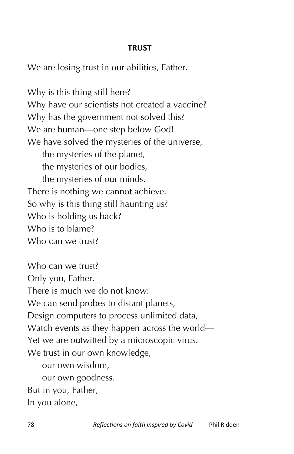## **TRUST**

We are losing trust in our abilities, Father.

Why is this thing still here? Why have our scientists not created a vaccine? Why has the government not solved this? We are human—one step below God! We have solved the mysteries of the universe, the mysteries of the planet, the mysteries of our bodies, the mysteries of our minds. There is nothing we cannot achieve. So why is this thing still haunting us? Who is holding us back? Who is to blame? Who can we trust?

Who can we trust? Only you, Father. There is much we do not know: We can send probes to distant planets, Design computers to process unlimited data, Watch events as they happen across the world— Yet we are outwitted by a microscopic virus. We trust in our own knowledge, our own wisdom,

our own goodness. But in you, Father, In you alone,